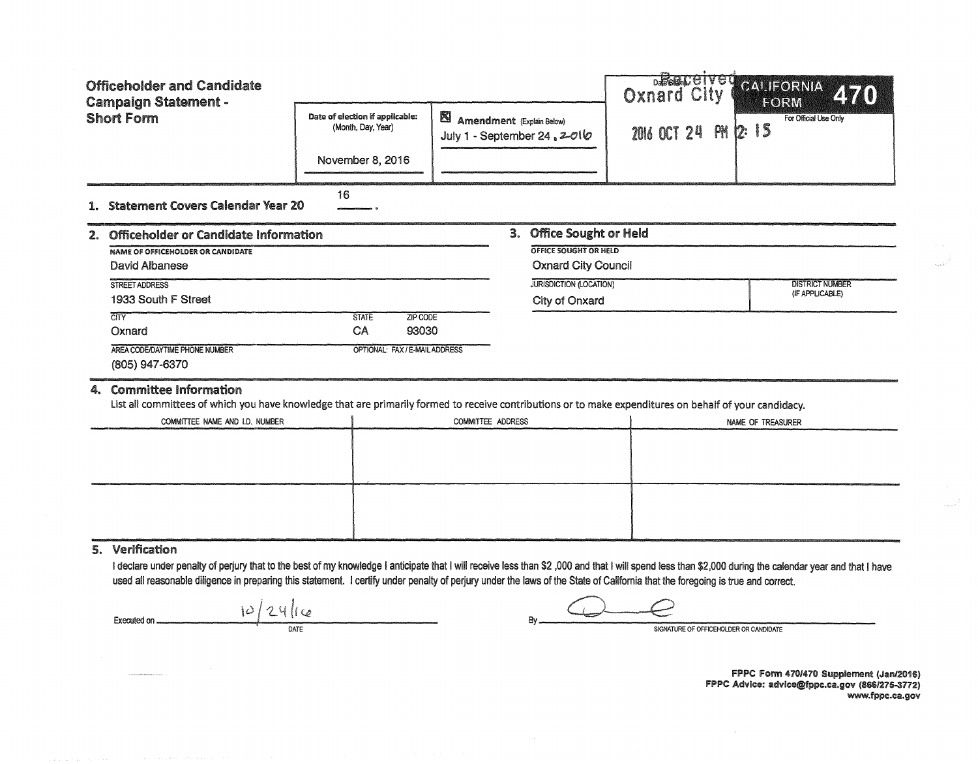|                                                  | <b>Officeholder and Candidate</b>                                                                                                                                                                                                                                                                                                                                                                             |                                                       |                                                                    |                                                     | <b>DARGAC CTV GTO</b><br><b>Oxnard Gity</b> | CALIFORNIA<br><b>ZY</b><br>FORM           |  |  |  |
|--------------------------------------------------|---------------------------------------------------------------------------------------------------------------------------------------------------------------------------------------------------------------------------------------------------------------------------------------------------------------------------------------------------------------------------------------------------------------|-------------------------------------------------------|--------------------------------------------------------------------|-----------------------------------------------------|---------------------------------------------|-------------------------------------------|--|--|--|
| <b>Campaign Statement -</b><br><b>Short Form</b> |                                                                                                                                                                                                                                                                                                                                                                                                               | Date of election if applicable:<br>(Month, Day, Year) | <b>El</b> Amendment (Explain Below)<br>July 1 - September 24, 2016 |                                                     | 2016 OCT 24 PM<br>r.                        | For Official Use Only<br>- 15             |  |  |  |
|                                                  |                                                                                                                                                                                                                                                                                                                                                                                                               | November 8, 2016                                      |                                                                    |                                                     |                                             |                                           |  |  |  |
|                                                  | 1. Statement Covers Calendar Year 20                                                                                                                                                                                                                                                                                                                                                                          | 16                                                    |                                                                    |                                                     |                                             |                                           |  |  |  |
|                                                  | <b>Office Sought or Held</b><br>3.<br>2. Officeholder or Candidate Information                                                                                                                                                                                                                                                                                                                                |                                                       |                                                                    |                                                     |                                             |                                           |  |  |  |
|                                                  | <b>NAME OF OFFICEHOLDER OR CANDIDATE</b><br><b>David Albanese</b>                                                                                                                                                                                                                                                                                                                                             |                                                       |                                                                    | OFFICE SOUGHT OR HELD<br><b>Oxnard City Council</b> |                                             |                                           |  |  |  |
|                                                  | STREET ADDRESS<br>1933 South F Street                                                                                                                                                                                                                                                                                                                                                                         |                                                       |                                                                    | <b>JURISDICTION (LOCATION)</b><br>City of Onxard    |                                             | <b>DISTRICT NUMBER</b><br>(IF APPLICABLE) |  |  |  |
|                                                  | $\overline{\text{CITY}}$<br>Oxnard                                                                                                                                                                                                                                                                                                                                                                            | <b>STATE</b><br>ZIP CODE<br>CA<br>93030               |                                                                    |                                                     |                                             |                                           |  |  |  |
|                                                  | AREA CODE/DAYTIME PHONE NUMBER<br>(805) 947-6370                                                                                                                                                                                                                                                                                                                                                              | OPTIONAL: FAX / E-MAIL ADDRESS                        |                                                                    |                                                     |                                             |                                           |  |  |  |
| 4.                                               | <b>Committee Information</b><br>List all committees of which you have knowledge that are primarily formed to receive contributions or to make expenditures on behalf of your candidacy.                                                                                                                                                                                                                       |                                                       |                                                                    |                                                     |                                             |                                           |  |  |  |
|                                                  | COMMITTEE NAME AND I.D. NUMBER<br>COMMITTEE ADDRESS                                                                                                                                                                                                                                                                                                                                                           |                                                       |                                                                    |                                                     |                                             | NAME OF TREASURER                         |  |  |  |
|                                                  |                                                                                                                                                                                                                                                                                                                                                                                                               |                                                       |                                                                    |                                                     |                                             |                                           |  |  |  |
|                                                  |                                                                                                                                                                                                                                                                                                                                                                                                               |                                                       |                                                                    |                                                     |                                             |                                           |  |  |  |
|                                                  |                                                                                                                                                                                                                                                                                                                                                                                                               |                                                       |                                                                    |                                                     |                                             |                                           |  |  |  |
|                                                  | 5. Verification<br>I declare under penalty of perjury that to the best of my knowledge I anticipate that I will receive less than \$2,000 and that I will spend less than \$2,000 during the calendar year and that I have<br>used all reasonable diligence in preparing this statement. I certify under penalty of perjury under the laws of the State of California that the foregoing is true and correct. |                                                       |                                                                    |                                                     |                                             |                                           |  |  |  |

Executed on  $\frac{10/24}{\frac{24}{24}}$ 

 $\sim$ 

FPPC Form *4701410* Supplement (Jal'l/2016) FPPC Advice: advice@fppc.ca.gov (8661275-3772) www.fppc.ca.gov  $\frac{1}{\sin\theta} \int_{-\pi}^{\pi}$ 

a<sub>rina</sub> a